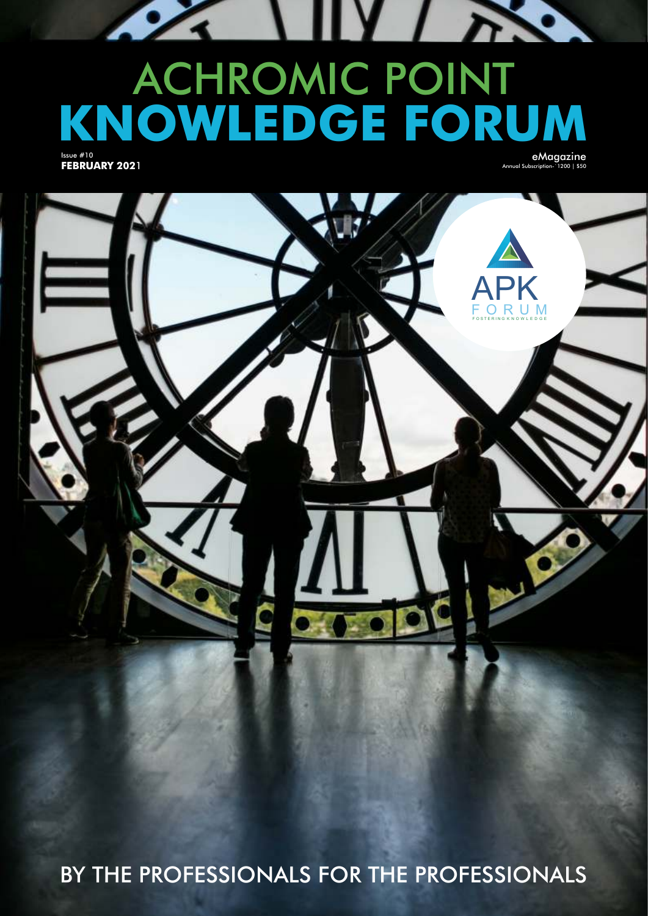# ACHROMIC POINT **KNOWLEDGE FORUM**

Issue #10 **FEBRUARY 202**1 eMagazine Annual Subscription-`1200 | \$50

Y A.



BY THE PROFESSIONALS FOR THE PROFESSIONALS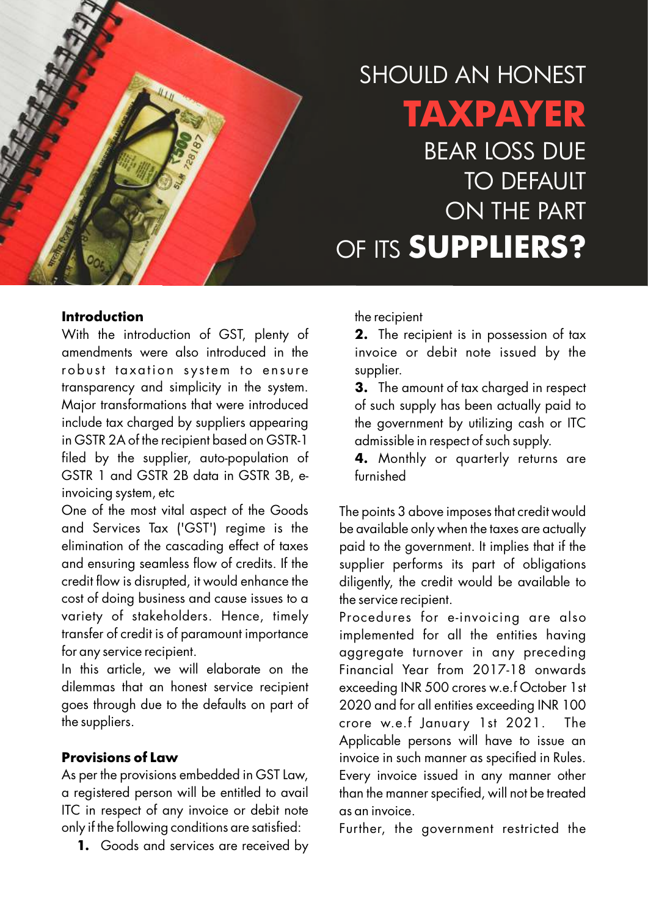

# SHOULD AN HONEST **TAXPAYER** BEAR LOSS DUE TO DEFAULT ON THE PART OF ITS **SUPPLIERS?**

#### **Introduction**

With the introduction of GST, plenty of amendments were also introduced in the robust taxation system to ensure transparency and simplicity in the system. Major transformations that were introduced include tax charged by suppliers appearing in GSTR 2A of the recipient based on GSTR-1 filed by the supplier, auto-population of GSTR 1 and GSTR 2B data in GSTR 3B, einvoicing system, etc

One of the most vital aspect of the Goods and Services Tax ('GST') regime is the elimination of the cascading effect of taxes and ensuring seamless flow of credits. If the credit flow is disrupted, it would enhance the cost of doing business and cause issues to a variety of stakeholders. Hence, timely transfer of credit is of paramount importance for any service recipient.

In this article, we will elaborate on the dilemmas that an honest service recipient goes through due to the defaults on part of the suppliers.

## **Provisions of Law**

As per the provisions embedded in GST Law, a registered person will be entitled to avail ITC in respect of any invoice or debit note only if the following conditions are satisfied:

**1.** Goods and services are received by

the recipient

**2.** The recipient is in possession of tax invoice or debit note issued by the supplier.

**3.** The amount of tax charged in respect of such supply has been actually paid to the government by utilizing cash or ITC admissible in respect of such supply.

**4.** Monthly or quarterly returns are furnished

The points 3 above imposes that credit would be available only when the taxes are actually paid to the government. It implies that if the supplier performs its part of obligations diligently, the credit would be available to the service recipient.

Procedures for e-invoicing are also implemented for all the entities having aggregate turnover in any preceding Financial Year from 2017-18 onwards exceeding INR 500 crores w.e.f October 1st 2020 and for all entities exceeding INR 100 crore w.e.f January 1st 2021. The Applicable persons will have to issue an invoice in such manner as specified in Rules. Every invoice issued in any manner other than the manner specified, will not be treated as an invoice.

Further, the government restricted the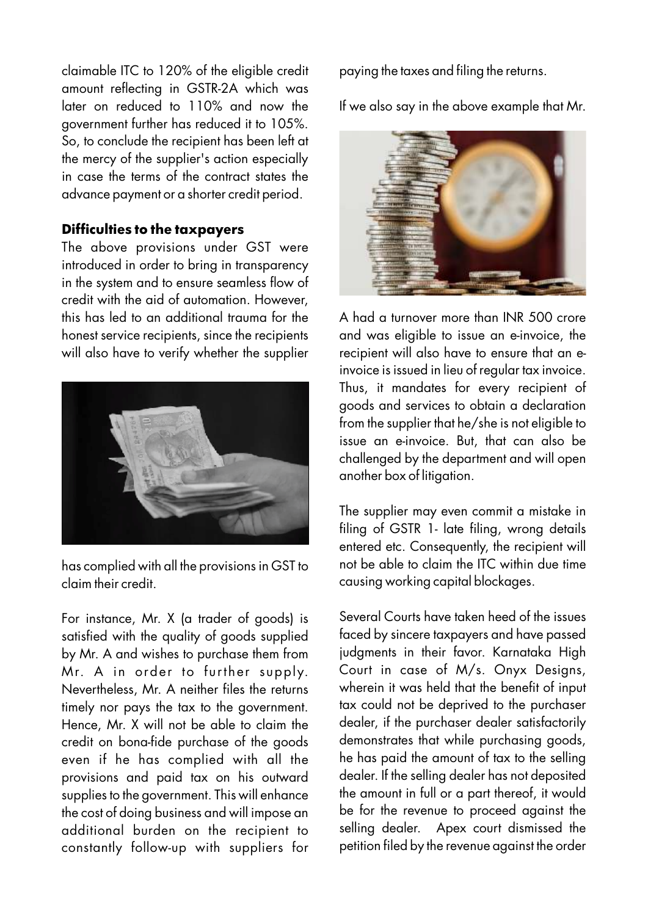claimable ITC to 120% of the eligible credit amount reflecting in GSTR-2A which was later on reduced to 110% and now the government further has reduced it to 105%. So, to conclude the recipient has been left at the mercy of the supplier's action especially in case the terms of the contract states the advance payment or a shorter credit period.

#### **Difficulties to the taxpayers**

The above provisions under GST were introduced in order to bring in transparency in the system and to ensure seamless flow of credit with the aid of automation. However, this has led to an additional trauma for the honest service recipients, since the recipients will also have to verify whether the supplier



has complied with all the provisions in GST to claim their credit.

For instance, Mr. X (a trader of goods) is satisfied with the quality of goods supplied by Mr. A and wishes to purchase them from Mr. A in order to further supply. Nevertheless, Mr. A neither files the returns timely nor pays the tax to the government. Hence, Mr. X will not be able to claim the credit on bona-fide purchase of the goods even if he has complied with all the provisions and paid tax on his outward supplies to the government. This will enhance the cost of doing business and will impose an additional burden on the recipient to constantly follow-up with suppliers for paying the taxes and filing the returns.

If we also say in the above example that Mr.



A had a turnover more than INR 500 crore and was eligible to issue an e-invoice, the recipient will also have to ensure that an einvoice is issued in lieu of regular tax invoice. Thus, it mandates for every recipient of goods and services to obtain a declaration from the supplier that he/she is not eligible to issue an e-invoice. But, that can also be challenged by the department and will open another box of litigation.

The supplier may even commit a mistake in filing of GSTR 1- late filing, wrong details entered etc. Consequently, the recipient will not be able to claim the ITC within due time causing working capital blockages.

Several Courts have taken heed of the issues faced by sincere taxpayers and have passed judgments in their favor. Karnataka High Court in case of M/s. Onyx Designs, wherein it was held that the benefit of input tax could not be deprived to the purchaser dealer, if the purchaser dealer satisfactorily demonstrates that while purchasing goods, he has paid the amount of tax to the selling dealer. If the selling dealer has not deposited the amount in full or a part thereof, it would be for the revenue to proceed against the selling dealer. Apex court dismissed the petition filed by the revenue against the order